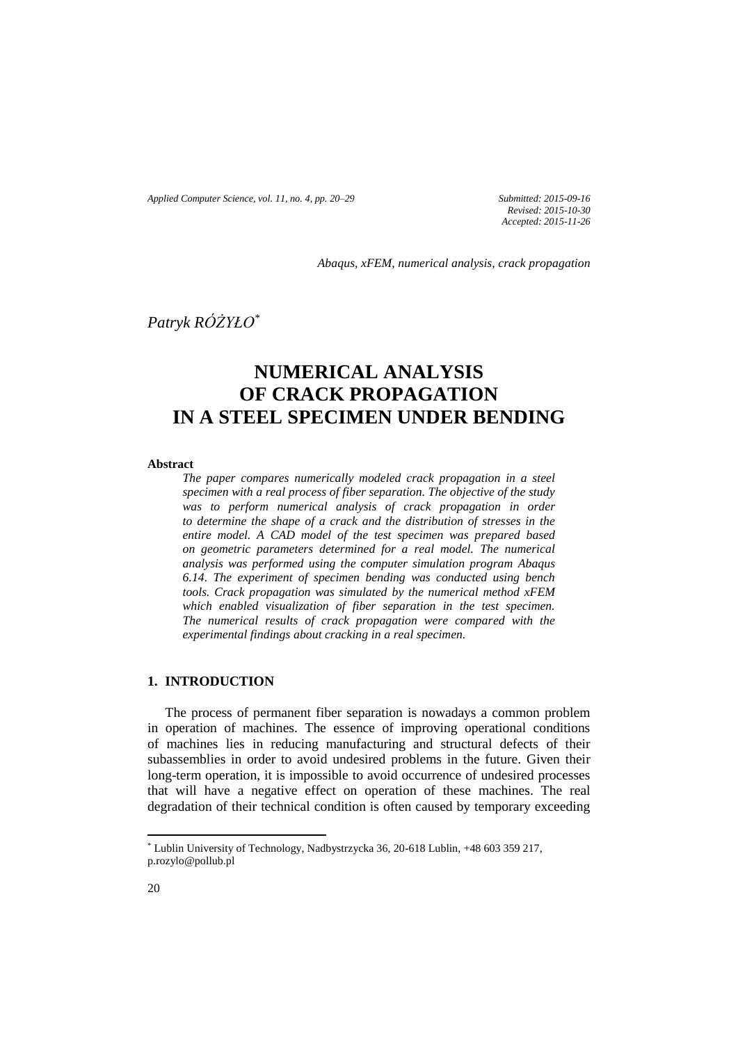*Applied Computer Science, vol. 11, no. 4, pp. 20–29 Submitted: 2015-09-16*

*Revised: 2015-10-30 Accepted: 2015-11-26*

*Abaqus, xFEM, numerical analysis, crack propagation*

*Patryk RÓŻYŁO\**

# **NUMERICAL ANALYSIS OF CRACK PROPAGATION IN A STEEL SPECIMEN UNDER BENDING**

### **Abstract**

*The paper compares numerically modeled crack propagation in a steel specimen with a real process of fiber separation. The objective of the study was to perform numerical analysis of crack propagation in order to determine the shape of a crack and the distribution of stresses in the entire model. A CAD model of the test specimen was prepared based on geometric parameters determined for a real model. The numerical analysis was performed using the computer simulation program Abaqus 6.14. The experiment of specimen bending was conducted using bench tools. Crack propagation was simulated by the numerical method xFEM which enabled visualization of fiber separation in the test specimen. The numerical results of crack propagation were compared with the experimental findings about cracking in a real specimen.*

## **1. INTRODUCTION**

The process of permanent fiber separation is nowadays a common problem in operation of machines. The essence of improving operational conditions of machines lies in reducing manufacturing and structural defects of their subassemblies in order to avoid undesired problems in the future. Given their long-term operation, it is impossible to avoid occurrence of undesired processes that will have a negative effect on operation of these machines. The real degradation of their technical condition is often caused by temporary exceeding

 $\overline{\phantom{a}}$ 

<sup>\*</sup> Lublin University of Technology, Nadbystrzycka 36, 20-618 Lublin, +48 603 359 217, p.rozylo@pollub.pl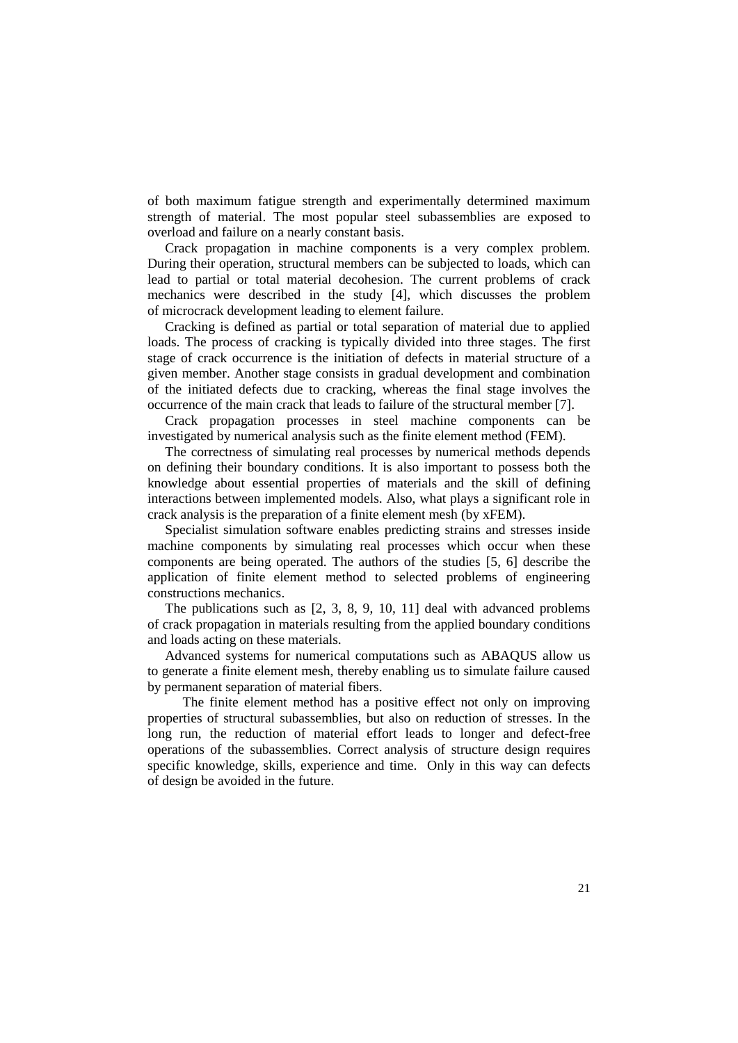of both maximum fatigue strength and experimentally determined maximum strength of material. The most popular steel subassemblies are exposed to overload and failure on a nearly constant basis.

Crack propagation in machine components is a very complex problem. During their operation, structural members can be subjected to loads, which can lead to partial or total material decohesion. The current problems of crack mechanics were described in the study [4], which discusses the problem of microcrack development leading to element failure.

Cracking is defined as partial or total separation of material due to applied loads. The process of cracking is typically divided into three stages. The first stage of crack occurrence is the initiation of defects in material structure of a given member. Another stage consists in gradual development and combination of the initiated defects due to cracking, whereas the final stage involves the occurrence of the main crack that leads to failure of the structural member [7].

Crack propagation processes in steel machine components can be investigated by numerical analysis such as the finite element method (FEM).

The correctness of simulating real processes by numerical methods depends on defining their boundary conditions. It is also important to possess both the knowledge about essential properties of materials and the skill of defining interactions between implemented models. Also, what plays a significant role in crack analysis is the preparation of a finite element mesh (by xFEM).

Specialist simulation software enables predicting strains and stresses inside machine components by simulating real processes which occur when these components are being operated. The authors of the studies [5, 6] describe the application of finite element method to selected problems of engineering constructions mechanics.

The publications such as [2, 3, 8, 9, 10, 11] deal with advanced problems of crack propagation in materials resulting from the applied boundary conditions and loads acting on these materials.

Advanced systems for numerical computations such as ABAQUS allow us to generate a finite element mesh, thereby enabling us to simulate failure caused by permanent separation of material fibers.

The finite element method has a positive effect not only on improving properties of structural subassemblies, but also on reduction of stresses. In the long run, the reduction of material effort leads to longer and defect-free operations of the subassemblies. Correct analysis of structure design requires specific knowledge, skills, experience and time. Only in this way can defects of design be avoided in the future.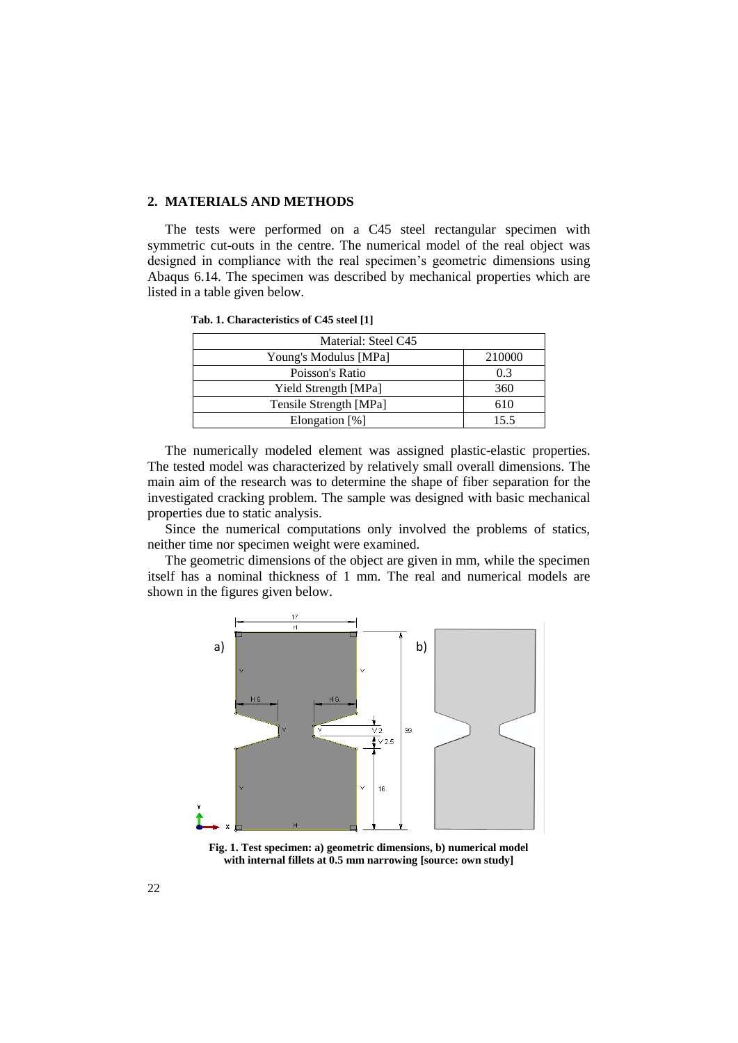# **2. MATERIALS AND METHODS**

The tests were performed on a C45 steel rectangular specimen with symmetric cut-outs in the centre. The numerical model of the real object was designed in compliance with the real specimen's geometric dimensions using Abaqus 6.14. The specimen was described by mechanical properties which are listed in a table given below.

| Material: Steel C45    |        |
|------------------------|--------|
| Young's Modulus [MPa]  | 210000 |
| Poisson's Ratio        | 0.3    |
| Yield Strength [MPa]   | 360    |
| Tensile Strength [MPa] | 610    |
| Elongation $[\%]$      | 155    |

 **Tab. 1. Characteristics of C45 steel [1]**

The numerically modeled element was assigned plastic-elastic properties. The tested model was characterized by relatively small overall dimensions. The main aim of the research was to determine the shape of fiber separation for the investigated cracking problem. The sample was designed with basic mechanical properties due to static analysis.

Since the numerical computations only involved the problems of statics, neither time nor specimen weight were examined.

The geometric dimensions of the object are given in mm, while the specimen itself has a nominal thickness of 1 mm. The real and numerical models are shown in the figures given below.



**Fig. 1. Test specimen: a) geometric dimensions, b) numerical model with internal fillets at 0.5 mm narrowing [source: own study]**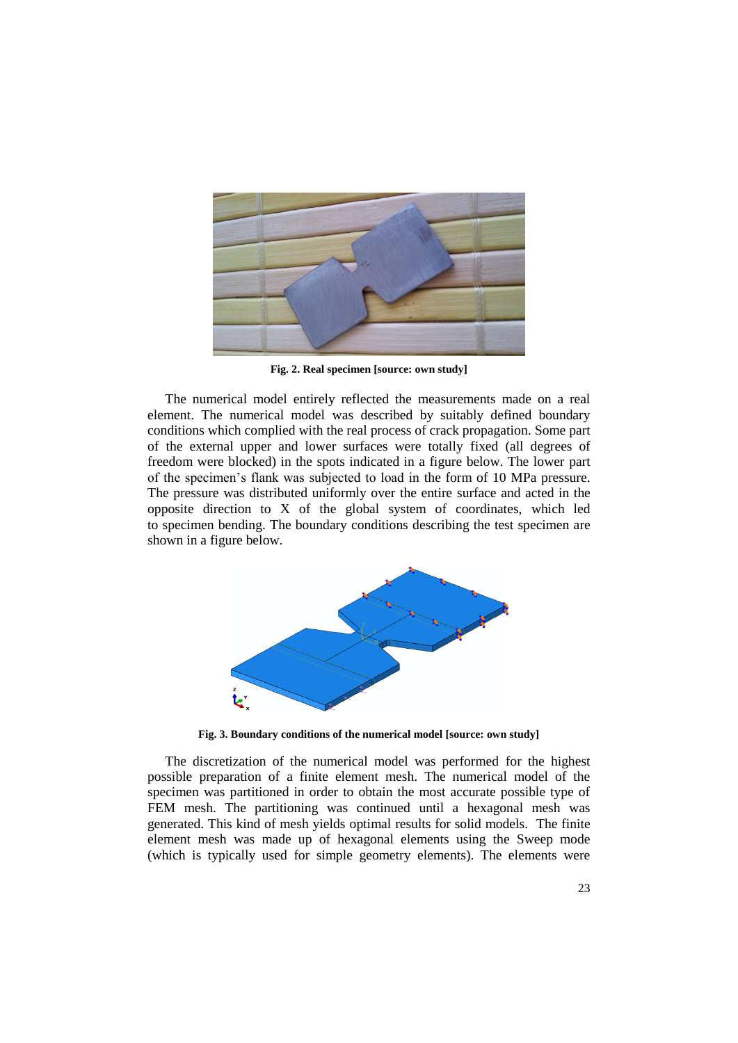

**Fig. 2. Real specimen [source: own study]**

The numerical model entirely reflected the measurements made on a real element. The numerical model was described by suitably defined boundary conditions which complied with the real process of crack propagation. Some part of the external upper and lower surfaces were totally fixed (all degrees of freedom were blocked) in the spots indicated in a figure below. The lower part of the specimen's flank was subjected to load in the form of 10 MPa pressure. The pressure was distributed uniformly over the entire surface and acted in the opposite direction to X of the global system of coordinates, which led to specimen bending. The boundary conditions describing the test specimen are shown in a figure below.



**Fig. 3. Boundary conditions of the numerical model [source: own study]**

The discretization of the numerical model was performed for the highest possible preparation of a finite element mesh. The numerical model of the specimen was partitioned in order to obtain the most accurate possible type of FEM mesh. The partitioning was continued until a hexagonal mesh was generated. This kind of mesh yields optimal results for solid models. The finite element mesh was made up of hexagonal elements using the Sweep mode (which is typically used for simple geometry elements). The elements were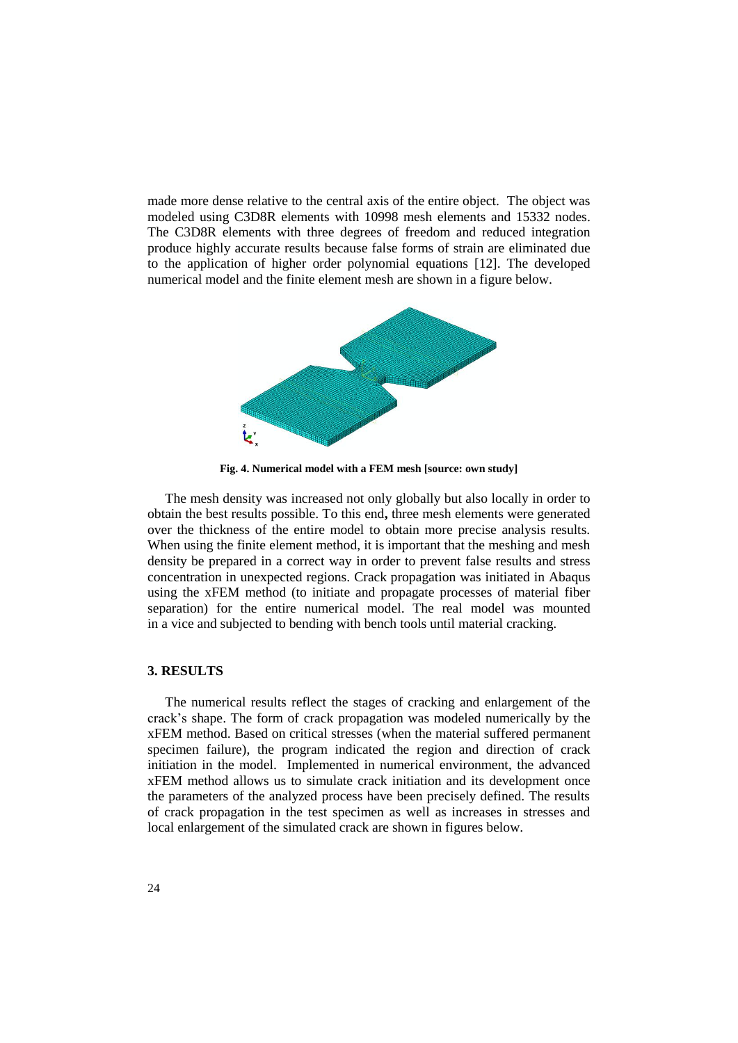made more dense relative to the central axis of the entire object. The object was modeled using C3D8R elements with 10998 mesh elements and 15332 nodes. The C3D8R elements with three degrees of freedom and reduced integration produce highly accurate results because false forms of strain are eliminated due to the application of higher order polynomial equations [12]. The developed numerical model and the finite element mesh are shown in a figure below.



**Fig. 4. Numerical model with a FEM mesh [source: own study]**

The mesh density was increased not only globally but also locally in order to obtain the best results possible. To this end**,** three mesh elements were generated over the thickness of the entire model to obtain more precise analysis results. When using the finite element method, it is important that the meshing and mesh density be prepared in a correct way in order to prevent false results and stress concentration in unexpected regions. Crack propagation was initiated in Abaqus using the xFEM method (to initiate and propagate processes of material fiber separation) for the entire numerical model. The real model was mounted in a vice and subjected to bending with bench tools until material cracking.

# **3. RESULTS**

The numerical results reflect the stages of cracking and enlargement of the crack's shape. The form of crack propagation was modeled numerically by the xFEM method. Based on critical stresses (when the material suffered permanent specimen failure), the program indicated the region and direction of crack initiation in the model. Implemented in numerical environment, the advanced xFEM method allows us to simulate crack initiation and its development once the parameters of the analyzed process have been precisely defined. The results of crack propagation in the test specimen as well as increases in stresses and local enlargement of the simulated crack are shown in figures below.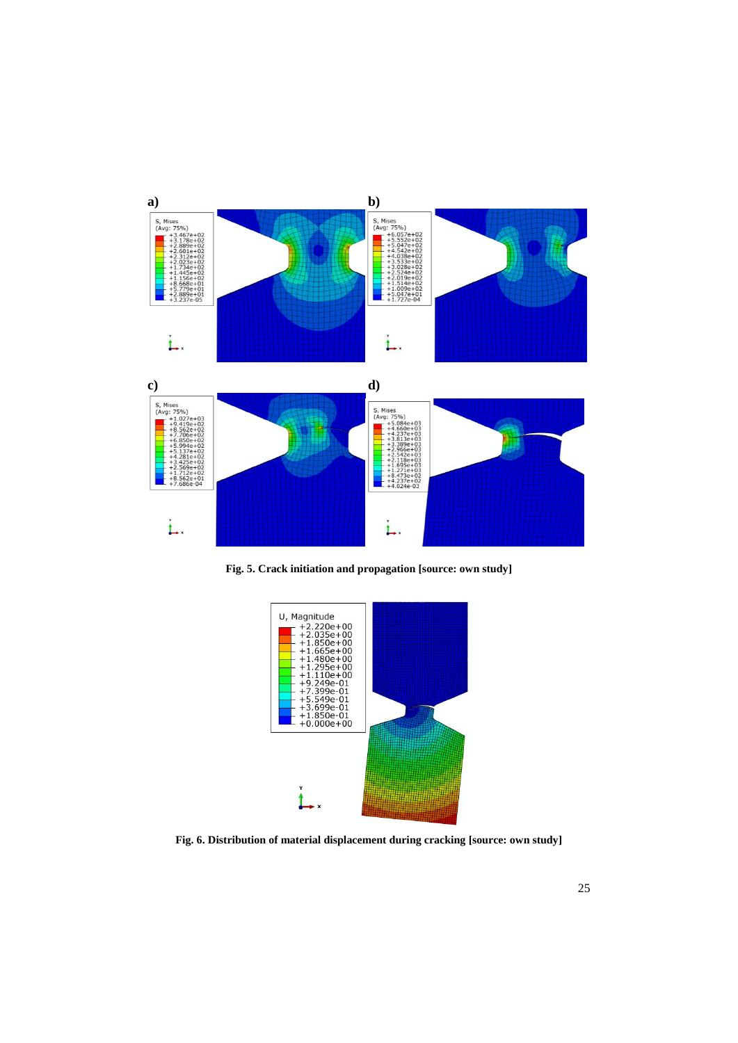

**Fig. 5. Crack initiation and propagation [source: own study]**



**Fig. 6. Distribution of material displacement during cracking [source: own study]**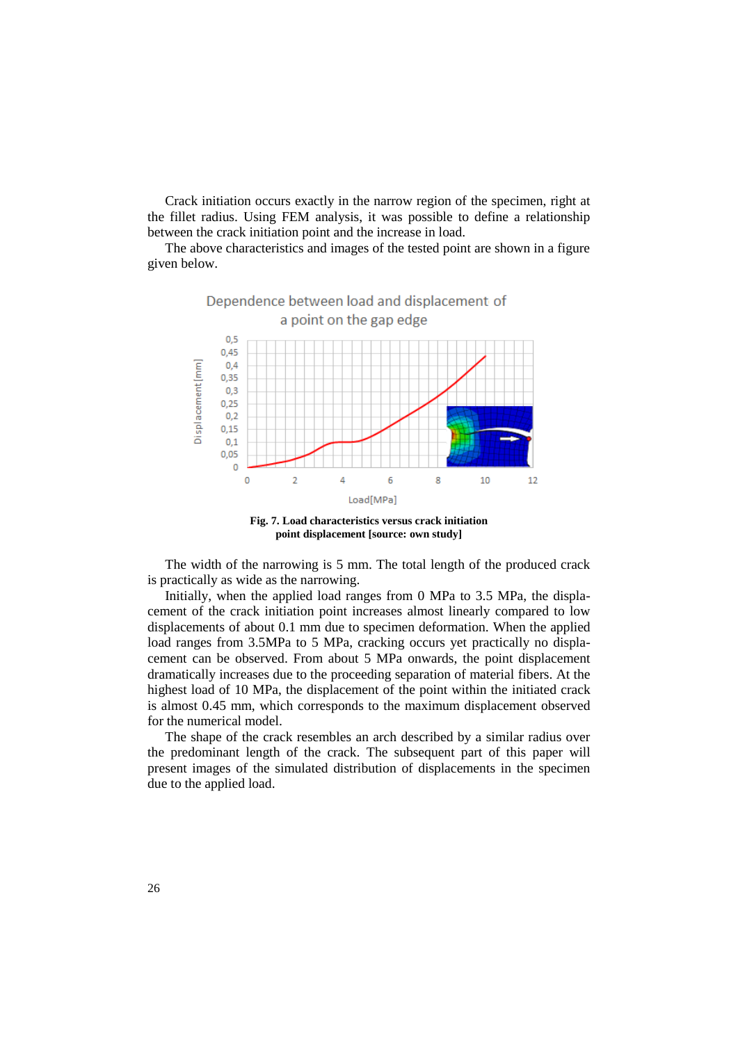Crack initiation occurs exactly in the narrow region of the specimen, right at the fillet radius. Using FEM analysis, it was possible to define a relationship between the crack initiation point and the increase in load.

The above characteristics and images of the tested point are shown in a figure given below.



**Fig. 7. Load characteristics versus crack initiation point displacement [source: own study]**

The width of the narrowing is 5 mm. The total length of the produced crack is practically as wide as the narrowing.

Initially, when the applied load ranges from 0 MPa to 3.5 MPa, the displacement of the crack initiation point increases almost linearly compared to low displacements of about 0.1 mm due to specimen deformation. When the applied load ranges from 3.5MPa to 5 MPa, cracking occurs yet practically no displacement can be observed. From about 5 MPa onwards, the point displacement dramatically increases due to the proceeding separation of material fibers. At the highest load of 10 MPa, the displacement of the point within the initiated crack is almost 0.45 mm, which corresponds to the maximum displacement observed for the numerical model.

The shape of the crack resembles an arch described by a similar radius over the predominant length of the crack. The subsequent part of this paper will present images of the simulated distribution of displacements in the specimen due to the applied load.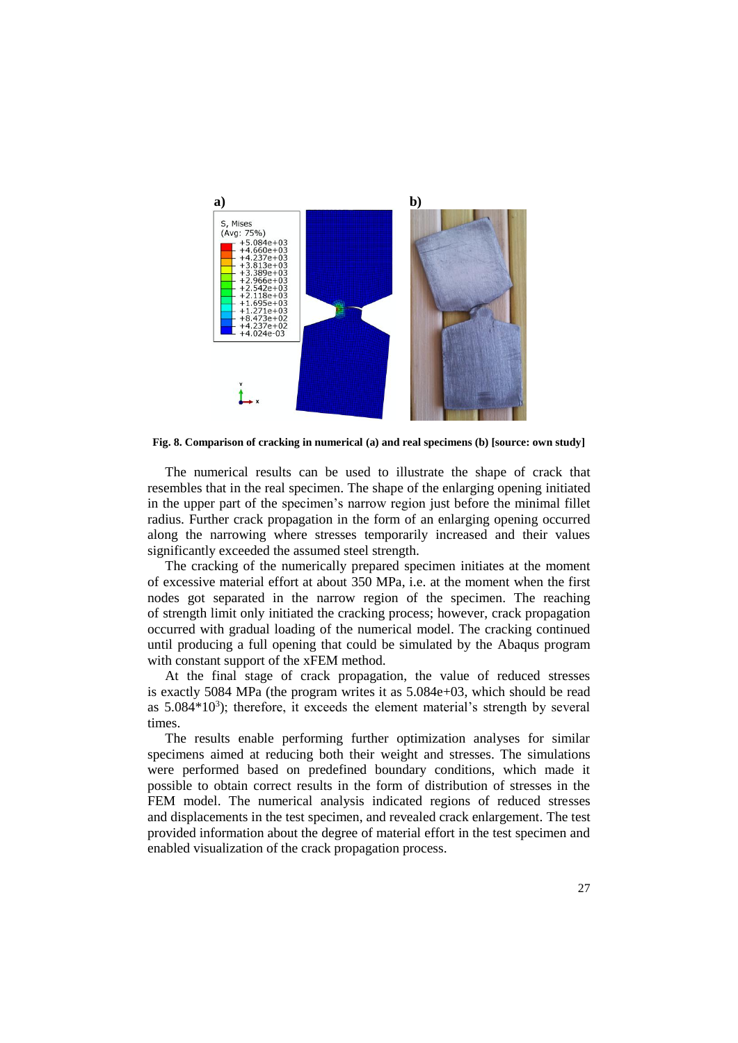

**Fig. 8. Comparison of cracking in numerical (a) and real specimens (b) [source: own study]**

The numerical results can be used to illustrate the shape of crack that resembles that in the real specimen. The shape of the enlarging opening initiated in the upper part of the specimen's narrow region just before the minimal fillet radius. Further crack propagation in the form of an enlarging opening occurred along the narrowing where stresses temporarily increased and their values significantly exceeded the assumed steel strength.

The cracking of the numerically prepared specimen initiates at the moment of excessive material effort at about 350 MPa, i.e. at the moment when the first nodes got separated in the narrow region of the specimen. The reaching of strength limit only initiated the cracking process; however, crack propagation occurred with gradual loading of the numerical model. The cracking continued until producing a full opening that could be simulated by the Abaqus program with constant support of the xFEM method.

At the final stage of crack propagation, the value of reduced stresses is exactly 5084 MPa (the program writes it as 5.084e+03, which should be read as  $5.084*10<sup>3</sup>$ ); therefore, it exceeds the element material's strength by several times.

The results enable performing further optimization analyses for similar specimens aimed at reducing both their weight and stresses. The simulations were performed based on predefined boundary conditions, which made it possible to obtain correct results in the form of distribution of stresses in the FEM model. The numerical analysis indicated regions of reduced stresses and displacements in the test specimen, and revealed crack enlargement. The test provided information about the degree of material effort in the test specimen and enabled visualization of the crack propagation process.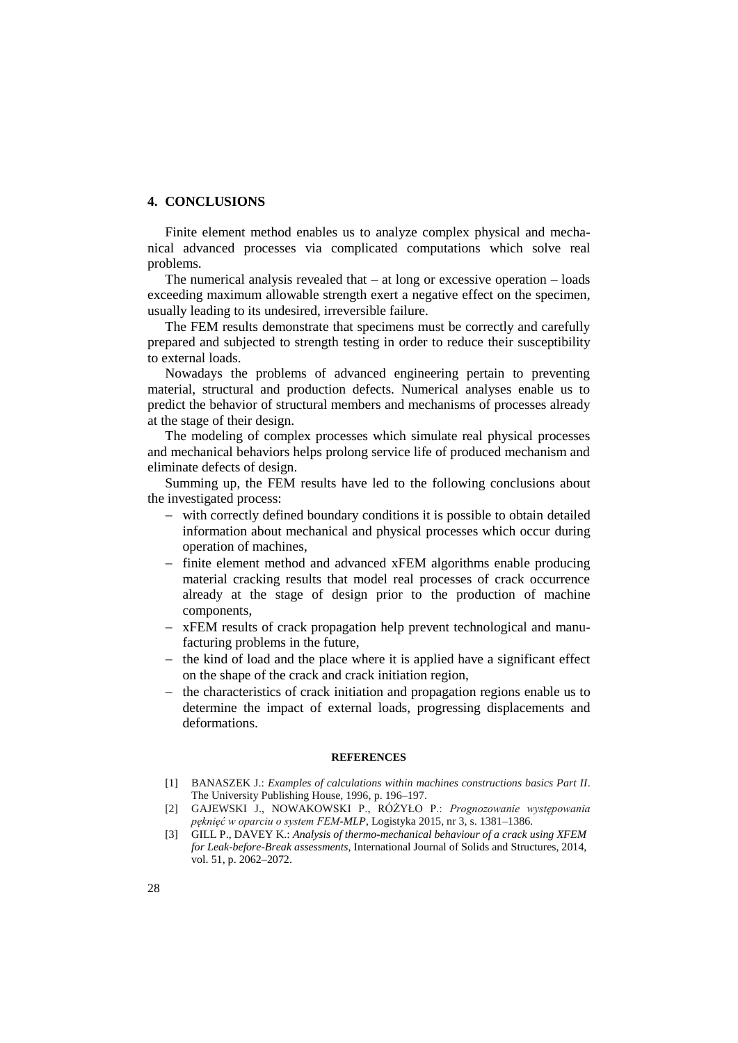### **4. CONCLUSIONS**

Finite element method enables us to analyze complex physical and mechanical advanced processes via complicated computations which solve real problems.

The numerical analysis revealed that  $-$  at long or excessive operation  $-$  loads exceeding maximum allowable strength exert a negative effect on the specimen, usually leading to its undesired, irreversible failure.

The FEM results demonstrate that specimens must be correctly and carefully prepared and subjected to strength testing in order to reduce their susceptibility to external loads.

Nowadays the problems of advanced engineering pertain to preventing material, structural and production defects. Numerical analyses enable us to predict the behavior of structural members and mechanisms of processes already at the stage of their design.

The modeling of complex processes which simulate real physical processes and mechanical behaviors helps prolong service life of produced mechanism and eliminate defects of design.

Summing up, the FEM results have led to the following conclusions about the investigated process:

- with correctly defined boundary conditions it is possible to obtain detailed information about mechanical and physical processes which occur during operation of machines,
- finite element method and advanced xFEM algorithms enable producing material cracking results that model real processes of crack occurrence already at the stage of design prior to the production of machine components,
- xFEM results of crack propagation help prevent technological and manufacturing problems in the future,
- $-$  the kind of load and the place where it is applied have a significant effect on the shape of the crack and crack initiation region,
- the characteristics of crack initiation and propagation regions enable us to determine the impact of external loads, progressing displacements and deformations.

#### **REFERENCES**

- [1] BANASZEK J.: *Examples of calculations within machines constructions basics Part II*. The University Publishing House, 1996, p. 196–197.
- [2] GAJEWSKI J., NOWAKOWSKI P., RÓŻYŁO P.: *Prognozowanie występowania pęknięć w oparciu o system FEM-MLP*, Logistyka 2015, nr 3, s. 1381–1386.
- [3] GILL P., DAVEY K.: *Analysis of thermo-mechanical behaviour of a crack using XFEM for Leak-before-Break assessments*, International Journal of Solids and Structures, 2014, vol. 51, p. 2062–2072.